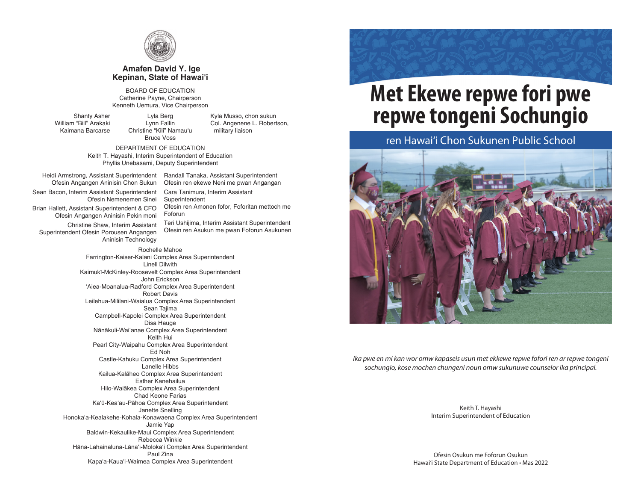

#### **Amafen David Y. Ige Kepinan, State of Hawai'i**

BOARD OF EDUCATION Catherine Payne, Chairperson Kenneth Uemura, Vice Chairperson

Shanty Asher William "Bill" Arakaki Kaimana Barcarse

Lyla Berg Lynn Fallin Christine "Kili" Namau'u Bruce Voss Kyla Musso, chon sukun Col. Angenene L. Robertson, military liaison

DEPARTMENT OF EDUCATION Keith T. Hayashi, Interim Superintendent of Education Phyllis Unebasami, Deputy Superintendent

Heidi Armstrong, Assistant Superintendent Ofesin Angangen Aninisin Chon Sukun Sean Bacon, Interim Assistant Superintendent Ofesin Nemenemen Sinei Brian Hallett, Assistant Superintendent & CFO Ofesin Angangen Aninisin Pekin moni Christine Shaw, Interim Assistant Superintendent Ofesin Porousen Angangen Aninisin Technology

Randall Tanaka, Assistant Superintendent Ofesin ren ekewe Neni me pwan Angangan Cara Tanimura, Interim Assistant Superintendent Ofesin ren Amonen fofor, Foforitan mettoch me

Foforun Teri Ushijima, Interim Assistant Superintendent Ofesin ren Asukun me pwan Foforun Asukunen

Rochelle Mahoe Farrington-Kaiser-Kalani Complex Area Superintendent Linell Dilwith Kaimukī-McKinley-Roosevelt Complex Area Superintendent John Erickson 'Aiea-Moanalua-Radford Complex Area Superintendent Robert Davis Leilehua-Mililani-Waialua Complex Area Superintendent Sean Tajima Campbell-Kapolei Complex Area Superintendent Disa Hauge Nānākuli-Wai'anae Complex Area Superintendent Keith Hui Pearl City-Waipahu Complex Area Superintendent Ed Noh Castle-Kahuku Complex Area Superintendent Lanelle Hibbs Kailua-Kalāheo Complex Area Superintendent Esther Kanehailua Hilo-Waiākea Complex Area Superintendent Chad Keone Farias Ka'ū-Kea'au-Pāhoa Complex Area Superintendent Janette Snelling Honoka'a-Kealakehe-Kohala-Konawaena Complex Area Superintendent Jamie Yap Baldwin-Kekaulike-Maui Complex Area Superintendent Rebecca Winkie Hāna-Lahainaluna-Lāna'i-Moloka'i Complex Area Superintendent Paul Zina Kapa'a-Kaua'i-Waimea Complex Area Superintendent

# **Met Ekewe repwe fori pwe repwe tongeni Sochungio**

### ren Hawai'i Chon Sukunen Public School



*Ika pwe en mi kan wor omw kapaseis usun met ekkewe repwe fofori ren ar repwe tongeni sochungio, kose mochen chungeni noun omw sukunuwe counselor ika principal.*

> Keith T. Hayashi Interim Superintendent of Education

Ofesin Osukun me Foforun Osukun Hawai'i State Department of Education • Mas 2022